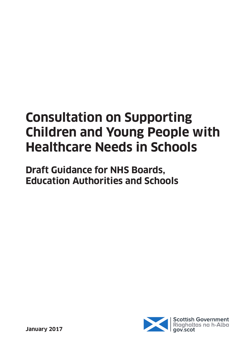# **Consultation on Supporting Children and Young People with Healthcare Needs in Schools**

**Draft Guidance for NHS Boards, Education Authorities and Schools**

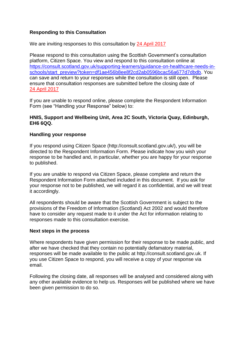# **Responding to this Consultation**

We are inviting responses to this consultation by 24 April 2017

Please respond to this consultation using the Scottish Government's consultation platform, Citizen Space. You view and respond to this consultation online at [https://consult.scotland.gov.uk/supporting-learners/guidance-on-healthcare-needs-in](https://consult.scotland.gov.uk/supporting-learners/guidance-on-healthcare-needs-in-schools/start_preview?token=df1ae456b8ee8f2cd2ab0596bcac56a677d7dbdb)[schools/start\\_preview?token=df1ae456b8ee8f2cd2ab0596bcac56a677d7dbdb.](https://consult.scotland.gov.uk/supporting-learners/guidance-on-healthcare-needs-in-schools/start_preview?token=df1ae456b8ee8f2cd2ab0596bcac56a677d7dbdb) You can save and return to your responses while the consultation is still open. Please ensure that consultation responses are submitted before the closing date of 24 April 2017

If you are unable to respond online, please complete the Respondent Information Form (see "Handling your Response" below) to:

#### **HNIS, Support and Wellbeing Unit, Area 2C South, Victoria Quay, Edinburgh, EH6 6QQ.**

#### **Handling your response**

If you respond using Citizen Space (http://consult.scotland.gov.uk/), you will be directed to the Respondent Information Form. Please indicate how you wish your response to be handled and, in particular, whether you are happy for your response to published.

If you are unable to respond via Citizen Space, please complete and return the Respondent Information Form attached included in this document. If you ask for your response not to be published, we will regard it as confidential, and we will treat it accordingly.

All respondents should be aware that the Scottish Government is subject to the provisions of the Freedom of Information (Scotland) Act 2002 and would therefore have to consider any request made to it under the Act for information relating to responses made to this consultation exercise.

#### **Next steps in the process**

Where respondents have given permission for their response to be made public, and after we have checked that they contain no potentially defamatory material, responses will be made available to the public at http://consult.scotland.gov.uk. If you use Citizen Space to respond, you will receive a copy of your response via email.

Following the closing date, all responses will be analysed and considered along with any other available evidence to help us. Responses will be published where we have been given permission to do so.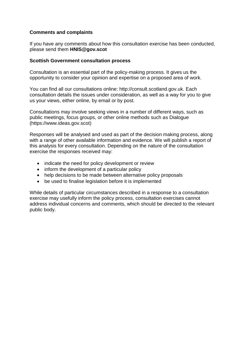# **Comments and complaints**

If you have any comments about how this consultation exercise has been conducted, please send them **HNIS@gov.scot**

#### **Scottish Government consultation process**

Consultation is an essential part of the policy-making process. It gives us the opportunity to consider your opinion and expertise on a proposed area of work.

You can find all our consultations online: http://consult.scotland.gov.uk. Each consultation details the issues under consideration, as well as a way for you to give us your views, either online, by email or by post.

Consultations may involve seeking views in a number of different ways, such as public meetings, focus groups, or other online methods such as Dialogue (https://www.ideas.gov.scot)

Responses will be analysed and used as part of the decision making process, along with a range of other available information and evidence. We will publish a report of this analysis for every consultation. Depending on the nature of the consultation exercise the responses received may:

- indicate the need for policy development or review
- inform the development of a particular policy
- help decisions to be made between alternative policy proposals
- be used to finalise legislation before it is implemented

While details of particular circumstances described in a response to a consultation exercise may usefully inform the policy process, consultation exercises cannot address individual concerns and comments, which should be directed to the relevant public body.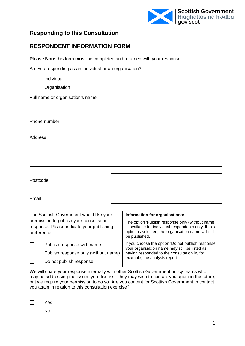

# **Responding to this Consultation**

# **RESPONDENT INFORMATION FORM**

**Please Note** this form **must** be completed and returned with your response.

Are you responding as an individual or an organisation?

| Individual |
|------------|
|------------|

 $\Box$ **Organisation** 

Full name or organisation's name

Phone number

Address

Postcode

Email

| The Scottish Government would like your<br>permission to publish your consultation<br>response. Please indicate your publishing<br>preference: |                                      | Information for organisations:                                                                                                                                                    |  |
|------------------------------------------------------------------------------------------------------------------------------------------------|--------------------------------------|-----------------------------------------------------------------------------------------------------------------------------------------------------------------------------------|--|
|                                                                                                                                                |                                      | The option 'Publish response only (without name)<br>is available for individual respondents only If this<br>option is selected, the organisation name will still<br>be published. |  |
|                                                                                                                                                | Publish response with name           | If you choose the option 'Do not publish response',<br>your organisation name may still be listed as                                                                              |  |
|                                                                                                                                                | Publish response only (without name) | having responded to the consultation in, for                                                                                                                                      |  |
|                                                                                                                                                | Do not publish response              | example, the analysis report.                                                                                                                                                     |  |

We will share your response internally with other Scottish Government policy teams who may be addressing the issues you discuss. They may wish to contact you again in the future, but we require your permission to do so. Are you content for Scottish Government to contact you again in relation to this consultation exercise?

 $\Box$ No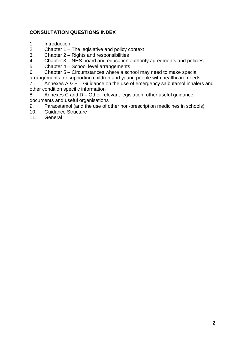# **CONSULTATION QUESTIONS INDEX**

- 1. Introduction
- 2. Chapter 1 The legislative and policy context
- 3. Chapter 2 Rights and responsibilities<br>4. Chapter 3 NHS board and education
- 4. Chapter 3 NHS board and education authority agreements and policies<br>5. Chapter 4 School level arrangements
- 5. Chapter 4 School level arrangements
- 6. Chapter 5 Circumstances where a school may need to make special
- arrangements for supporting children and young people with healthcare needs<br>7. Annexes A & B Guidance on the use of emergency salbutamol inhaler

Annexes A  $\& B -$  Guidance on the use of emergency salbutamol inhalers and other condition specific information

8. Annexes C and D – Other relevant legislation, other useful guidance documents and useful organisations

- 9. Paracetamol (and the use of other non-prescription medicines in schools)<br>10. Guidance Structure
- 10. Guidance Structure<br>11. General
- **General**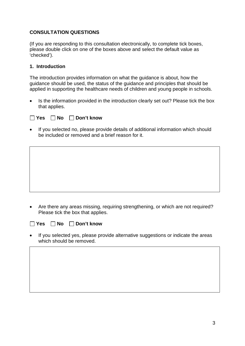# **CONSULTATION QUESTIONS**

(If you are responding to this consultation electronically, to complete tick boxes, please double click on one of the boxes above and select the default value as 'checked').

#### **1. Introduction**

The introduction provides information on what the guidance is about, how the guidance should be used, the status of the guidance and principles that should be applied in supporting the healthcare needs of children and young people in schools.

• Is the information provided in the introduction clearly set out? Please tick the box that applies.

**Yes No Don't know**

If you selected no, please provide details of additional information which should be included or removed and a brief reason for it.

• Are there any areas missing, requiring strengthening, or which are not required? Please tick the box that applies.

**Yes No Don't know**

If you selected yes, please provide alternative suggestions or indicate the areas which should be removed.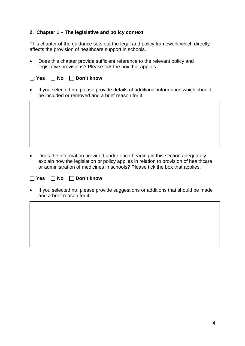# **2. Chapter 1 – The legislative and policy context**

This chapter of the guidance sets out the legal and policy framework which directly affects the provision of healthcare support in schools.

• Does this chapter provide sufficient reference to the relevant policy and legislative provisions? Please tick the box that applies.

| $\bullet$ | If you selected no, please provide details of additional information which should<br>be included or removed and a brief reason for it. |
|-----------|----------------------------------------------------------------------------------------------------------------------------------------|
|           |                                                                                                                                        |
|           |                                                                                                                                        |
|           |                                                                                                                                        |
|           |                                                                                                                                        |
|           |                                                                                                                                        |

- Does the information provided under each heading in this section adequately explain how the legislation or policy applies in relation to provision of healthcare or administration of medicines in schools? Please tick the box that applies.
- **Yes No Don't know**

■ Yes ■ No ■ Don't know

• If you selected no, please provide suggestions or additions that should be made and a brief reason for it.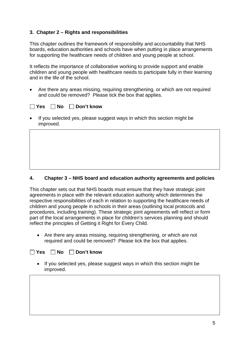# **3. Chapter 2 – Rights and responsibilities**

This chapter outlines the framework of responsibility and accountability that NHS boards, education authorities and schools have when putting in place arrangements for supporting the healthcare needs of children and young people at school.

It reflects the importance of collaborative working to provide support and enable children and young people with healthcare needs to participate fully in their learning and in the life of the school.

• Are there any areas missing, requiring strengthening, or which are not required and could be removed? Please tick the box that applies.

| □ Yes □ No □ Don't know |  |  |  |
|-------------------------|--|--|--|
|-------------------------|--|--|--|

If you selected yes, please suggest ways in which this section might be improved.

# **4. Chapter 3 – NHS board and education authority agreements and policies**

This chapter sets out that NHS boards must ensure that they have strategic joint agreements in place with the relevant education authority which determines the respective responsibilities of each in relation to supporting the healthcare needs of children and young people in schools in their areas (outlining local protocols and procedures, including training). These strategic joint agreements will reflect or form part of the local arrangements in place for children's services planning and should reflect the principles of Getting it Right for Every Child.

• Are there any areas missing, requiring strengthening, or which are not required and could be removed? Please tick the box that applies.

# **Yes No Don't know**

• If you selected yes, please suggest ways in which this section might be improved.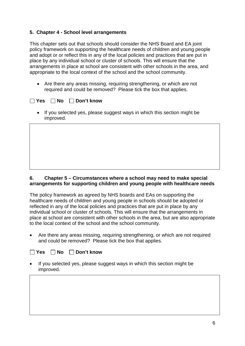# **5. Chapter 4 - School level arrangements**

This chapter sets out that schools should consider the NHS Board and EA joint policy framework on supporting the healthcare needs of children and young people and adopt or or reflect this in any of the local policies and practices that are put in place by any individual school or cluster of schools. This will ensure that the arrangements in place at school are consistent with other schools in the area, and appropriate to the local context of the school and the school community.

• Are there any areas missing, requiring strengthening, or which are not required and could be removed? Please tick the box that applies.

# **Particle X Bon't know**

• If you selected yes, please suggest ways in which this section might be improved.

# **6. Chapter 5 – Circumstances where a school may need to make special arrangements for supporting children and young people with healthcare needs**

The policy framework as agreed by NHS boards and EAs on supporting the healthcare needs of children and young people in schools should be adopted or reflected in any of the local policies and practices that are put in place by any individual school or cluster of schools. This will ensure that the arrangements in place at school are consistent with other schools in the area, but are also appropriate to the local context of the school and the school community.

• Are there any areas missing, requiring strengthening, or which are not required and could be removed? Please tick the box that applies.

# **Yes No Don't know**

• If you selected yes, please suggest ways in which this section might be improved.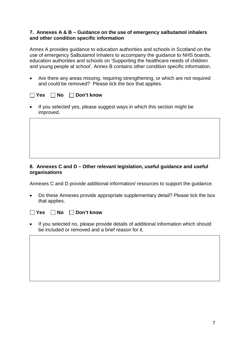#### **7. Annexes A & B – Guidance on the use of emergency salbutamol inhalers and other condition specific information**

Annex A provides guidance to education authorities and schools in Scotland on the use of emergency Salbutamol Inhalers to accompany the guidance to NHS boards, education authorities and schools on 'Supporting the healthcare needs of children and young people at school'. Annex B contains other condition specific information.

• Are there any areas missing, requiring strengthening, or which are not required and could be removed? Please tick the box that applies.

| ◯ Yes Q No Q Don't know |  |  |
|-------------------------|--|--|
|-------------------------|--|--|

If you selected yes, please suggest ways in which this section might be improved.

# **8. Annexes C and D – Other relevant legislation, useful guidance and useful organisations**

Annexes C and D provide additional information/ resources to support the guidance.

• Do these Annexes provide appropriate supplementary detail? Please tick the box that applies.

**Particle X No Don't know** 

If you selected no, please provide details of additional information which should be included or removed and a brief reason for it.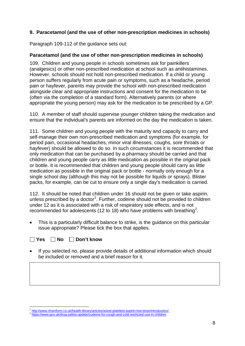# **9. Paracetamol (and the use of other non-prescription medicines in schools)**

Paragraph 109-112 of the guidance sets out:

# **Paracetamol (and the use of other non-prescription medicines in schools)**

109. Children and young people in schools sometimes ask for painkillers (analgesics) or other non-prescribed medication at school such as antihistamines. However, schools should not hold non-prescribed medication. If a child or young person suffers regularly from acute pain or symptoms, such as a headache, period pain or hayfever, parents may provide the school with non-prescribed medication alongside clear and appropriate instructions and consent for the medication to be (often via the completion of a standard form). Alternatively parents (or where appropriate the young person) may ask for the medication to be prescribed by a GP.

110. A member of staff should supervise younger children taking the medication and ensure that the individual's parents are informed on the day the medication is taken.

111. Some children and young people with the maturity and capacity to carry and self-manage their own non-prescribed medication and symptoms (for example, for period pain, occasional headaches, minor viral illnesses, coughs, sore throats or hayfever) should be allowed to do so. In such circumstances it is recommended that only medication that can be purchased by a pharmacy should be carried and that children and young people carry as little medication as possible in the original pack or bottle. It is recommended that children and young people should carry as little medication as possible in the original pack or bottle - normally only enough for a single school day (although this may not be possible for liquids or sprays). Blister packs, for example, can be cut to ensure only a single day's medication is carried.

112. It should be noted that children under 16 should not be given or take aspirin, unless prescribed by a doctor<sup>[1](#page-10-0)</sup>. Further, codeine should not be provided to children under 12 as it is associated with a risk of respiratory side effects, and is not recommended for adolescents (1[2](#page-10-1) to 18) who have problems with breathing<sup>2</sup>.

This is a particularly difficult balance to strike, is the quidance on this particular issue appropriate? Please tick the box that applies.

# **Yes No Don't know**

• If you selected no, please provide details of additional information which should be included or removed and a brief reason for it.

<span id="page-10-0"></span> $\frac{1}{2}$  <http://www.nhsinform.co.uk/health-library/articles/a/anti-platelets-aspirin-low-dose/introduction/>  $\frac{2}{1}$  <https://www.gov.uk/drug-safety-update/codeine-for-cough-and-cold-restricted-use-in-children>

<span id="page-10-1"></span>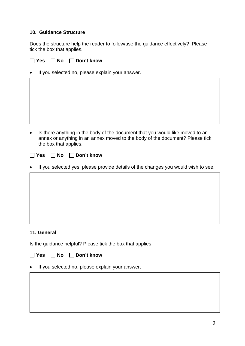# **10. Guidance Structure**

Does the structure help the reader to follow/use the guidance effectively? Please tick the box that applies.

# **Yes No Don't know**

If you selected no, please explain your answer.

• Is there anything in the body of the document that you would like moved to an annex or anything in an annex moved to the body of the document? Please tick the box that applies.

**The State State State State State State State State State State State State State State State State State State** 

If you selected yes, please provide details of the changes you would wish to see.

# **11. General**

Is the guidance helpful? Please tick the box that applies.

**Yes No Don't know**

If you selected no, please explain your answer.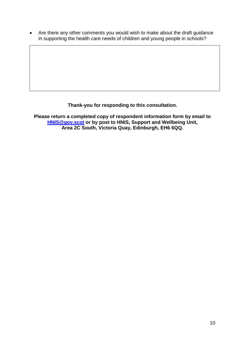• Are there any other comments you would wish to make about the draft guidance in supporting the health care needs of children and young people in schools?

**Thank-you for responding to this consultation.**

**Please return a completed copy of respondent information form by email to [HNIS@gov.scot](mailto:HNIS@gov.scot) or by post to HNIS, Support and Wellbeing Unit, Area 2C South, Victoria Quay, Edinburgh, EH6 6QQ.**